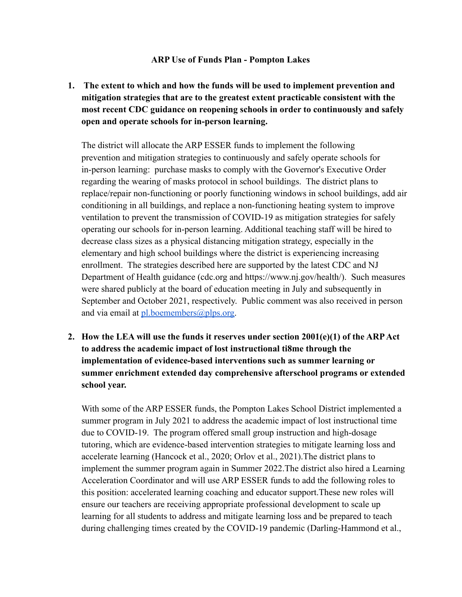## **ARP Use of Funds Plan - Pompton Lakes**

**1. The extent to which and how the funds will be used to implement prevention and mitigation strategies that are to the greatest extent practicable consistent with the most recent CDC guidance on reopening schools in order to continuously and safely open and operate schools for in-person learning.**

The district will allocate the ARP ESSER funds to implement the following prevention and mitigation strategies to continuously and safely operate schools for in-person learning: purchase masks to comply with the Governor's Executive Order regarding the wearing of masks protocol in school buildings. The district plans to replace/repair non-functioning or poorly functioning windows in school buildings, add air conditioning in all buildings, and replace a non-functioning heating system to improve ventilation to prevent the transmission of COVID-19 as mitigation strategies for safely operating our schools for in-person learning. Additional teaching staff will be hired to decrease class sizes as a physical distancing mitigation strategy, especially in the elementary and high school buildings where the district is experiencing increasing enrollment. The strategies described here are supported by the latest CDC and NJ Department of Health guidance (cdc.org and https://www.nj.gov/health/). Such measures were shared publicly at the board of education meeting in July and subsequently in September and October 2021, respectively. Public comment was also received in person and via email at  $pl.boemembers@plps.org.$ 

**2. How the LEA will use the funds it reserves under section 2001(e)(1) of the ARPAct to address the academic impact of lost instructional ti8me through the implementation of evidence-based interventions such as summer learning or summer enrichment extended day comprehensive afterschool programs or extended school year.**

With some of the ARP ESSER funds, the Pompton Lakes School District implemented a summer program in July 2021 to address the academic impact of lost instructional time due to COVID-19. The program offered small group instruction and high-dosage tutoring, which are evidence-based intervention strategies to mitigate learning loss and accelerate learning (Hancock et al., 2020; Orlov et al., 2021).The district plans to implement the summer program again in Summer 2022.The district also hired a Learning Acceleration Coordinator and will use ARP ESSER funds to add the following roles to this position: accelerated learning coaching and educator support.These new roles will ensure our teachers are receiving appropriate professional development to scale up learning for all students to address and mitigate learning loss and be prepared to teach during challenging times created by the COVID-19 pandemic (Darling-Hammond et al.,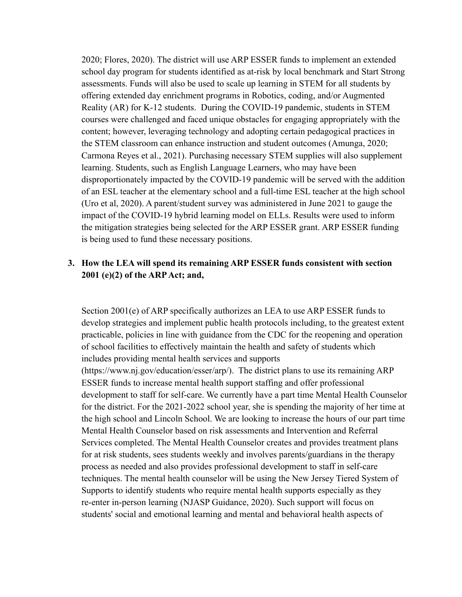2020; Flores, 2020). The district will use ARP ESSER funds to implement an extended school day program for students identified as at-risk by local benchmark and Start Strong assessments. Funds will also be used to scale up learning in STEM for all students by offering extended day enrichment programs in Robotics, coding, and/or Augmented Reality (AR) for K-12 students. During the COVID-19 pandemic, students in STEM courses were challenged and faced unique obstacles for engaging appropriately with the content; however, leveraging technology and adopting certain pedagogical practices in the STEM classroom can enhance instruction and student outcomes (Amunga, 2020; Carmona Reyes et al., 2021). Purchasing necessary STEM supplies will also supplement learning. Students, such as English Language Learners, who may have been disproportionately impacted by the COVID-19 pandemic will be served with the addition of an ESL teacher at the elementary school and a full-time ESL teacher at the high school (Uro et al, 2020). A parent/student survey was administered in June 2021 to gauge the impact of the COVID-19 hybrid learning model on ELLs. Results were used to inform the mitigation strategies being selected for the ARP ESSER grant. ARP ESSER funding is being used to fund these necessary positions.

## **3. How the LEA will spend its remaining ARP ESSER funds consistent with section 2001 (e)(2) of the ARPAct; and,**

Section 2001(e) of ARP specifically authorizes an LEA to use ARP ESSER funds to develop strategies and implement public health protocols including, to the greatest extent practicable, policies in line with guidance from the CDC for the reopening and operation of school facilities to effectively maintain the health and safety of students which includes providing mental health services and supports (https://www.nj.gov/education/esser/arp/). The district plans to use its remaining ARP ESSER funds to increase mental health support staffing and offer professional development to staff for self-care. We currently have a part time Mental Health Counselor for the district. For the 2021-2022 school year, she is spending the majority of her time at the high school and Lincoln School. We are looking to increase the hours of our part time Mental Health Counselor based on risk assessments and Intervention and Referral Services completed. The Mental Health Counselor creates and provides treatment plans for at risk students, sees students weekly and involves parents/guardians in the therapy process as needed and also provides professional development to staff in self-care techniques. The mental health counselor will be using the New Jersey Tiered System of Supports to identify students who require mental health supports especially as they re-enter in-person learning (NJASP Guidance, 2020). Such support will focus on students' social and emotional learning and mental and behavioral health aspects of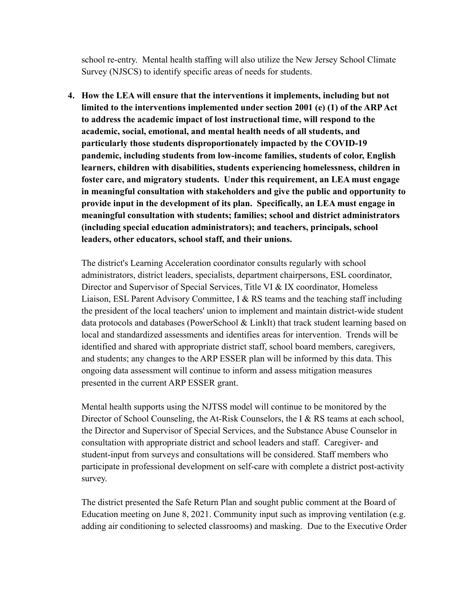school re-entry. Mental health staffing will also utilize the New Jersey School Climate Survey (NJSCS) to identify specific areas of needs for students.

**4. How the LEA will ensure that the interventions it implements, including but not limited to the interventions implemented under section 2001 (e) (1) of the ARPAct to address the academic impact of lost instructional time, will respond to the academic, social, emotional, and mental health needs of all students, and particularly those students disproportionately impacted by the COVID-19 pandemic, including students from low-income families, students of color, English learners, children with disabilities, students experiencing homelessness, children in foster care, and migratory students. Under this requirement, an LEA must engage in meaningful consultation with stakeholders and give the public and opportunity to provide input in the development of its plan. Specifically, an LEA must engage in meaningful consultation with students; families; school and district administrators (including special education administrators); and teachers, principals, school leaders, other educators, school staff, and their unions.**

The district's Learning Acceleration coordinator consults regularly with school administrators, district leaders, specialists, department chairpersons, ESL coordinator, Director and Supervisor of Special Services, Title VI & IX coordinator, Homeless Liaison, ESL Parent Advisory Committee, I & RS teams and the teaching staff including the president of the local teachers' union to implement and maintain district-wide student data protocols and databases (PowerSchool & LinkIt) that track student learning based on local and standardized assessments and identifies areas for intervention. Trends will be identified and shared with appropriate district staff, school board members, caregivers, and students; any changes to the ARP ESSER plan will be informed by this data. This ongoing data assessment will continue to inform and assess mitigation measures presented in the current ARP ESSER grant.

Mental health supports using the NJTSS model will continue to be monitored by the Director of School Counseling, the At-Risk Counselors, the I & RS teams at each school, the Director and Supervisor of Special Services, and the Substance Abuse Counselor in consultation with appropriate district and school leaders and staff. Caregiver- and student-input from surveys and consultations will be considered. Staff members who participate in professional development on self-care with complete a district post-activity survey.

The district presented the Safe Return Plan and sought public comment at the Board of Education meeting on June 8, 2021. Community input such as improving ventilation (e.g. adding air conditioning to selected classrooms) and masking. Due to the Executive Order